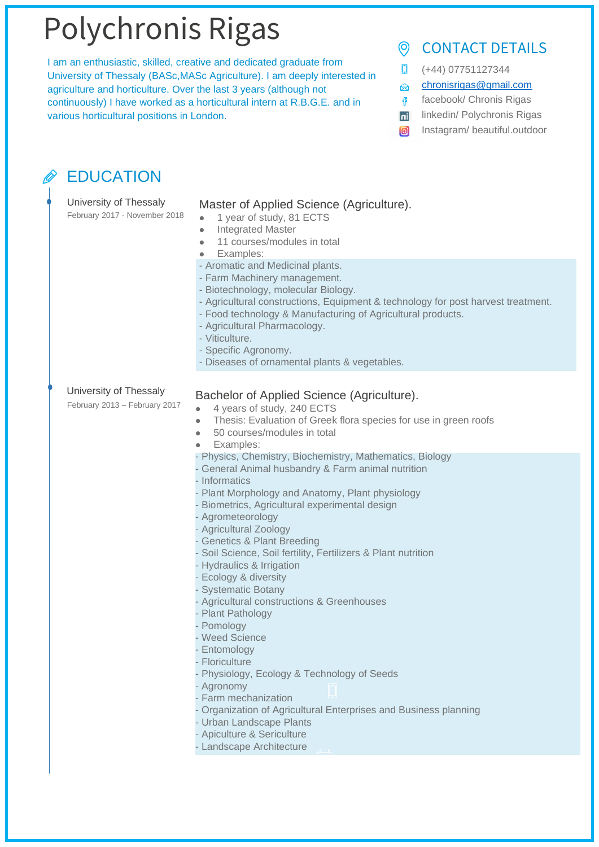# Polychronis Rigas

I am an enthusiastic, skilled, creative and dedicated graduate from University of Thessaly (BASc,MASc Agriculture). I am deeply interested in agriculture and horticulture. Over the last 3 years (although not continuously) I have worked as a horticultural intern at R.B.G.E. and in various horticultural positions in London.

#### CONTACT DETAILS  $\odot$

- 0 (+44) 07751127344
- [chronisrigas@gmail.com](mailto:chronisrigas@gmail.com)  $\otimes$
- facebook/ Chronis Rigas
- **ni** linkedin/ Polychronis Rigas
- Instagram/ beautiful.outdoor  $\boxed{0}$

### EDUCATION

| University of Thessaly<br>February 2017 - November 2018 | Master of Applied Science (Agriculture).<br>1 year of study, 81 ECTS<br>$\bullet$<br><b>Integrated Master</b><br>$\bullet$<br>11 courses/modules in total<br>$\bullet$<br>Examples:<br>$\bullet$                                                                                                                                                                                                                                                                                                                                                                                                                                                                                                                                                                                                                                                      |
|---------------------------------------------------------|-------------------------------------------------------------------------------------------------------------------------------------------------------------------------------------------------------------------------------------------------------------------------------------------------------------------------------------------------------------------------------------------------------------------------------------------------------------------------------------------------------------------------------------------------------------------------------------------------------------------------------------------------------------------------------------------------------------------------------------------------------------------------------------------------------------------------------------------------------|
|                                                         | - Aromatic and Medicinal plants.<br>- Farm Machinery management.<br>- Biotechnology, molecular Biology.<br>- Agricultural constructions, Equipment & technology for post harvest treatment.<br>- Food technology & Manufacturing of Agricultural products.<br>- Agricultural Pharmacology.<br>- Viticulture.<br>- Specific Agronomy.<br>- Diseases of ornamental plants & vegetables.                                                                                                                                                                                                                                                                                                                                                                                                                                                                 |
| University of Thessaly<br>February 2013 - February 2017 | Bachelor of Applied Science (Agriculture).<br>4 years of study, 240 ECTS<br>$\bullet$<br>Thesis: Evaluation of Greek flora species for use in green roofs<br>$\bullet$<br>50 courses/modules in total<br>$\bullet$<br>Examples:<br>$\bullet$                                                                                                                                                                                                                                                                                                                                                                                                                                                                                                                                                                                                          |
|                                                         | - Physics, Chemistry, Biochemistry, Mathematics, Biology<br>- General Animal husbandry & Farm animal nutrition<br>- Informatics<br>- Plant Morphology and Anatomy, Plant physiology<br>- Biometrics, Agricultural experimental design<br>- Agrometeorology<br>- Agricultural Zoology<br>- Genetics & Plant Breeding<br>- Soil Science, Soil fertility, Fertilizers & Plant nutrition<br>- Hydraulics & Irrigation<br>- Ecology & diversity<br>- Systematic Botany<br>- Agricultural constructions & Greenhouses<br>- Plant Pathology<br>- Pomology<br>- Weed Science<br>- Entomology<br>- Floriculture<br>- Physiology, Ecology & Technology of Seeds<br>- Agronomy<br>- Farm mechanization<br>- Organization of Agricultural Enterprises and Business planning<br>- Urban Landscape Plants<br>- Apiculture & Sericulture<br>- Landscape Architecture |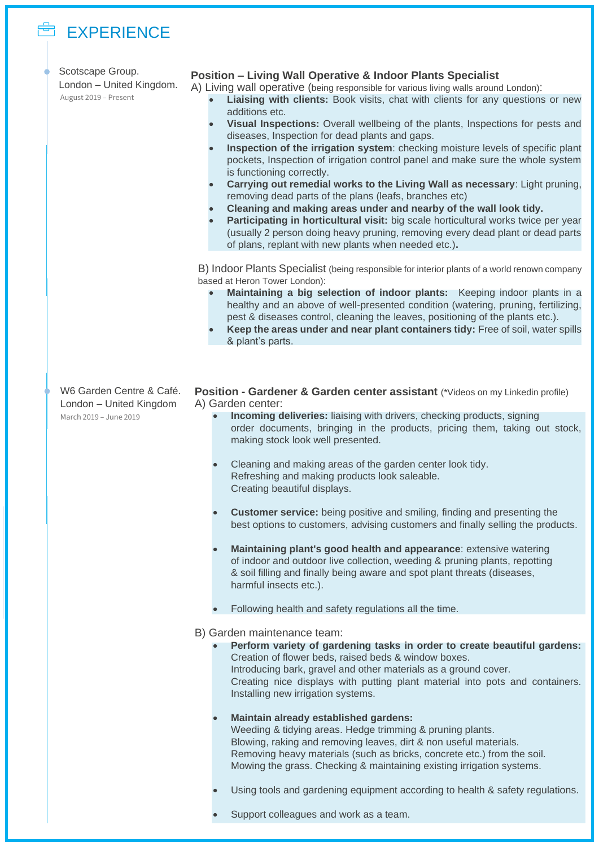### EXPERIENCE

|  | LAI LINLIVUL                                                          |                                                                                                                                                                                                                                                                                                                                                                                                                                                                                                                                                                                                                                                                                                                                                                                                                                                                                                                                                                                                                                                        |
|--|-----------------------------------------------------------------------|--------------------------------------------------------------------------------------------------------------------------------------------------------------------------------------------------------------------------------------------------------------------------------------------------------------------------------------------------------------------------------------------------------------------------------------------------------------------------------------------------------------------------------------------------------------------------------------------------------------------------------------------------------------------------------------------------------------------------------------------------------------------------------------------------------------------------------------------------------------------------------------------------------------------------------------------------------------------------------------------------------------------------------------------------------|
|  | Scotscape Group.<br>London - United Kingdom.<br>August 2019 - Present | <b>Position - Living Wall Operative &amp; Indoor Plants Specialist</b><br>A) Living wall operative (being responsible for various living walls around London):<br>Liaising with clients: Book visits, chat with clients for any questions or new<br>additions etc.<br>Visual Inspections: Overall wellbeing of the plants, Inspections for pests and<br>diseases, Inspection for dead plants and gaps.<br>Inspection of the irrigation system: checking moisture levels of specific plant<br>pockets, Inspection of irrigation control panel and make sure the whole system<br>is functioning correctly.<br>Carrying out remedial works to the Living Wall as necessary: Light pruning,<br>removing dead parts of the plans (leafs, branches etc)<br>Cleaning and making areas under and nearby of the wall look tidy.<br>Participating in horticultural visit: big scale horticultural works twice per year<br>(usually 2 person doing heavy pruning, removing every dead plant or dead parts<br>of plans, replant with new plants when needed etc.). |
|  |                                                                       | B) Indoor Plants Specialist (being responsible for interior plants of a world renown company<br>based at Heron Tower London):<br>Maintaining a big selection of indoor plants: Keeping indoor plants in a<br>healthy and an above of well-presented condition (watering, pruning, fertilizing,<br>pest & diseases control, cleaning the leaves, positioning of the plants etc.).<br>Keep the areas under and near plant containers tidy: Free of soil, water spills<br>& plant's parts.                                                                                                                                                                                                                                                                                                                                                                                                                                                                                                                                                                |
|  |                                                                       |                                                                                                                                                                                                                                                                                                                                                                                                                                                                                                                                                                                                                                                                                                                                                                                                                                                                                                                                                                                                                                                        |
|  | W6 Garden Centre & Café.                                              | Position - Gardener & Garden center assistant (*Videos on my Linkedin profile)                                                                                                                                                                                                                                                                                                                                                                                                                                                                                                                                                                                                                                                                                                                                                                                                                                                                                                                                                                         |
|  | London - United Kingdom<br>March 2019 - June 2019                     | A) Garden center:<br>Incoming deliveries: liaising with drivers, checking products, signing<br>order documents, bringing in the products, pricing them, taking out stock,<br>making stock look well presented.                                                                                                                                                                                                                                                                                                                                                                                                                                                                                                                                                                                                                                                                                                                                                                                                                                         |
|  |                                                                       | Cleaning and making areas of the garden center look tidy.<br>Refreshing and making products look saleable.<br>Creating beautiful displays.                                                                                                                                                                                                                                                                                                                                                                                                                                                                                                                                                                                                                                                                                                                                                                                                                                                                                                             |
|  |                                                                       | <b>Customer service:</b> being positive and smiling, finding and presenting the<br>best options to customers, advising customers and finally selling the products.                                                                                                                                                                                                                                                                                                                                                                                                                                                                                                                                                                                                                                                                                                                                                                                                                                                                                     |
|  |                                                                       | Maintaining plant's good health and appearance: extensive watering<br>$\bullet$<br>of indoor and outdoor live collection, weeding & pruning plants, repotting<br>& soil filling and finally being aware and spot plant threats (diseases,<br>harmful insects etc.).                                                                                                                                                                                                                                                                                                                                                                                                                                                                                                                                                                                                                                                                                                                                                                                    |
|  |                                                                       | Following health and safety regulations all the time.                                                                                                                                                                                                                                                                                                                                                                                                                                                                                                                                                                                                                                                                                                                                                                                                                                                                                                                                                                                                  |
|  |                                                                       | B) Garden maintenance team:                                                                                                                                                                                                                                                                                                                                                                                                                                                                                                                                                                                                                                                                                                                                                                                                                                                                                                                                                                                                                            |
|  |                                                                       | Perform variety of gardening tasks in order to create beautiful gardens:<br>Creation of flower beds, raised beds & window boxes.<br>Introducing bark, gravel and other materials as a ground cover.<br>Creating nice displays with putting plant material into pots and containers.<br>Installing new irrigation systems.                                                                                                                                                                                                                                                                                                                                                                                                                                                                                                                                                                                                                                                                                                                              |
|  |                                                                       | Maintain already established gardens:<br>Weeding & tidying areas. Hedge trimming & pruning plants.<br>Blowing, raking and removing leaves, dirt & non useful materials.<br>Removing heavy materials (such as bricks, concrete etc.) from the soil.<br>Mowing the grass. Checking & maintaining existing irrigation systems.                                                                                                                                                                                                                                                                                                                                                                                                                                                                                                                                                                                                                                                                                                                            |
|  |                                                                       | Using tools and gardening equipment according to health & safety regulations.                                                                                                                                                                                                                                                                                                                                                                                                                                                                                                                                                                                                                                                                                                                                                                                                                                                                                                                                                                          |
|  |                                                                       | Support colleagues and work as a team.                                                                                                                                                                                                                                                                                                                                                                                                                                                                                                                                                                                                                                                                                                                                                                                                                                                                                                                                                                                                                 |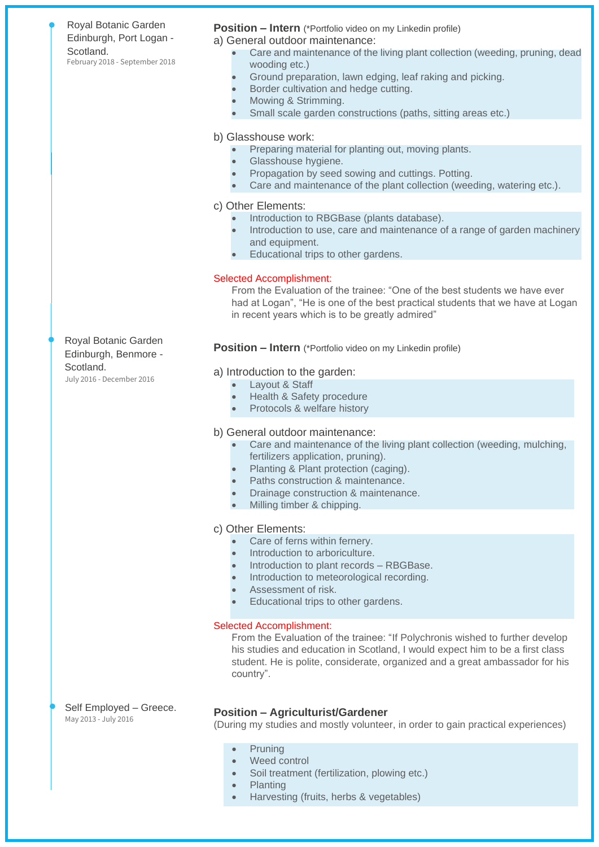Royal Botanic Garden Edinburgh, Port Logan - Scotland. February 2018 - September 2018

#### **Position – Intern** (\*Portfolio video on my Linkedin profile)

a) General outdoor maintenance:

- Care and maintenance of the living plant collection (weeding, pruning, dead wooding etc.)
- Ground preparation, lawn edging, leaf raking and picking.
- Border cultivation and hedge cutting.
- Mowing & Strimming.
- Small scale garden constructions (paths, sitting areas etc.)

b) Glasshouse work:

- Preparing material for planting out, moving plants.
- Glasshouse hygiene.
- Propagation by seed sowing and cuttings. Potting.
- Care and maintenance of the plant collection (weeding, watering etc.).

c) Other Elements:

- Introduction to RBGBase (plants database).
- Introduction to use, care and maintenance of a range of garden machinery and equipment.
- Educational trips to other gardens.

#### Selected Accomplishment:

From the Evaluation of the trainee: "One of the best students we have ever had at Logan", "He is one of the best practical students that we have at Logan in recent years which is to be greatly admired"

#### **Position – Intern** (\*Portfolio video on my Linkedin profile)

#### a) Introduction to the garden:

- Layout & Staff
- Health & Safety procedure
- Protocols & welfare history

#### b) General outdoor maintenance:

- Care and maintenance of the living plant collection (weeding, mulching, fertilizers application, pruning).
- Planting & Plant protection (caging).
- Paths construction & maintenance.
- Drainage construction & maintenance.
- Milling timber & chipping.

#### c) Other Elements:

- Care of ferns within fernery.
- Introduction to arboriculture.
- Introduction to plant records RBGBase.
- Introduction to meteorological recording.
- Assessment of risk.
- Educational trips to other gardens.

#### Selected Accomplishment:

From the Evaluation of the trainee: "If Polychronis wished to further develop his studies and education in Scotland, I would expect him to be a first class student. He is polite, considerate, organized and a great ambassador for his country".

May 2013 - July 2016

### Self Employed – Greece. **Position – Agriculturist/Gardener**

(During my studies and mostly volunteer, in order to gain practical experiences)

- Pruning
- Weed control
- Soil treatment (fertilization, plowing etc.)
- Planting
- Harvesting (fruits, herbs & vegetables)

Royal Botanic Garden Edinburgh, Benmore - Scotland.

July 2016 - December 2016